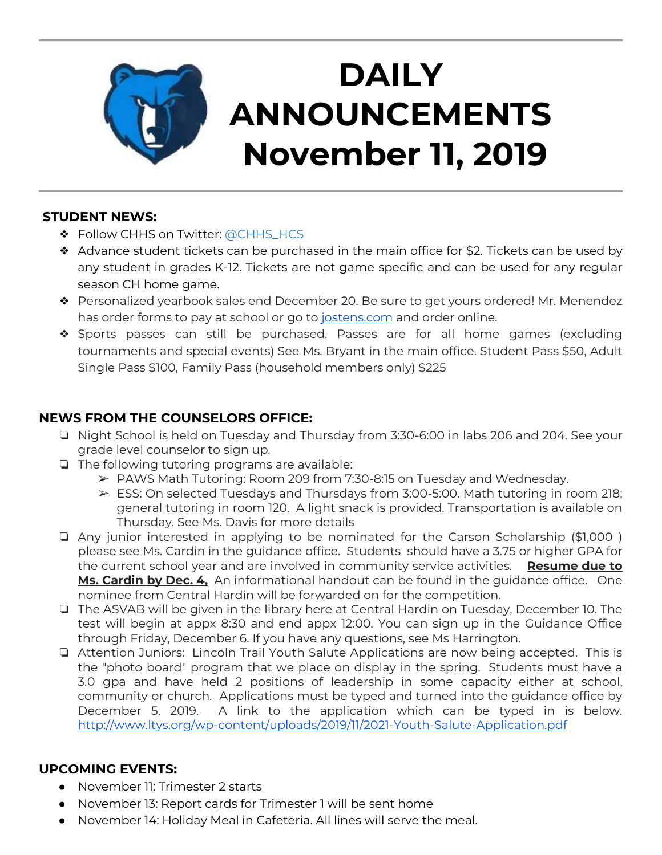

# **DAILY ANNOUNCEMENTS November 11, 2019**

#### **STUDENT NEWS:**

- ❖ Follow CHHS on Twitter: [@CHHS\\_HCS](https://twitter.com/CHHS_HCS)
- ❖ Advance student tickets can be purchased in the main office for \$2. Tickets can be used by any student in grades K-12. Tickets are not game specific and can be used for any regular season CH home game.
- ❖ Personalized yearbook sales end December 20. Be sure to get yours ordered! Mr. Menendez has order forms to pay at school or go to [jostens.com](http://jostens.com/) and order online.
- ❖ Sports passes can still be purchased. Passes are for all home games (excluding tournaments and special events) See Ms. Bryant in the main office. Student Pass \$50, Adult Single Pass \$100, Family Pass (household members only) \$225

### **NEWS FROM THE COUNSELORS OFFICE:**

- ❏ Night School is held on Tuesday and Thursday from 3:30-6:00 in labs 206 and 204. See your grade level counselor to sign up.
- ❏ The following tutoring programs are available:
	- ➢ PAWS Math Tutoring: Room 209 from 7:30-8:15 on Tuesday and Wednesday.
	- ➢ ESS: On selected Tuesdays and Thursdays from 3:00-5:00. Math tutoring in room 218; general tutoring in room 120. A light snack is provided. Transportation is available on Thursday. See Ms. Davis for more details
- ❏ Any junior interested in applying to be nominated for the Carson Scholarship (\$1,000 ) please see Ms. Cardin in the guidance office. Students should have a 3.75 or higher GPA for the current school year and are involved in community service activities. **Resume due to Ms. Cardin by Dec. 4,** An informational handout can be found in the guidance office. One nominee from Central Hardin will be forwarded on for the competition.
- ❏ The ASVAB will be given in the library here at Central Hardin on Tuesday, December 10. The test will begin at appx 8:30 and end appx 12:00. You can sign up in the Guidance Office through Friday, December 6. If you have any questions, see Ms Harrington.
- ❏ Attention Juniors: Lincoln Trail Youth Salute Applications are now being accepted. This is the "photo board" program that we place on display in the spring. Students must have a 3.0 gpa and have held 2 positions of leadership in some capacity either at school, community or church. Applications must be typed and turned into the guidance office by December 5, 2019. A link to the application which can be typed in is below. <http://www.ltys.org/wp-content/uploads/2019/11/2021-Youth-Salute-Application.pdf>

#### **UPCOMING EVENTS:**

- November 11: Trimester 2 starts
- November 13: Report cards for Trimester 1 will be sent home
- November 14: Holiday Meal in Cafeteria. All lines will serve the meal.